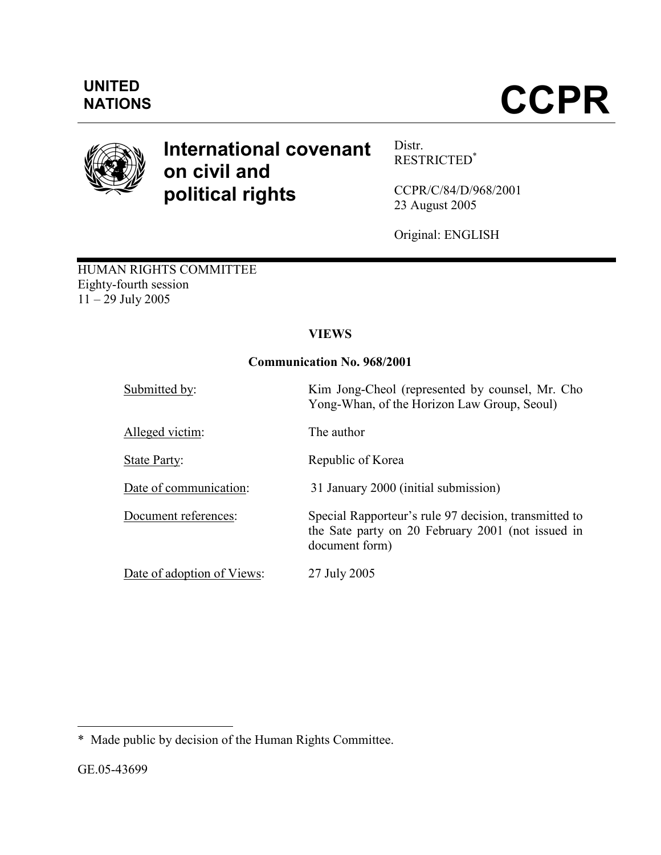



# International covenant on civil and political rights

Distr. RESTRICTED\*

CCPR/C/84/D/968/2001 23 August 2005

Original: ENGLISH

HUMAN RIGHTS COMMITTEE Eighty-fourth session  $11 - 29$  July 2005

# VIEWS

# Communication No. 968/2001

| Submitted by:              | Kim Jong-Cheol (represented by counsel, Mr. Cho<br>Yong-Whan, of the Horizon Law Group, Seoul)                               |
|----------------------------|------------------------------------------------------------------------------------------------------------------------------|
| Alleged victim:            | The author                                                                                                                   |
| <b>State Party:</b>        | Republic of Korea                                                                                                            |
| Date of communication:     | 31 January 2000 (initial submission)                                                                                         |
| Document references:       | Special Rapporteur's rule 97 decision, transmitted to<br>the Sate party on 20 February 2001 (not issued in<br>document form) |
| Date of adoption of Views: | 27 July 2005                                                                                                                 |

 $\overline{a}$ \* Made public by decision of the Human Rights Committee.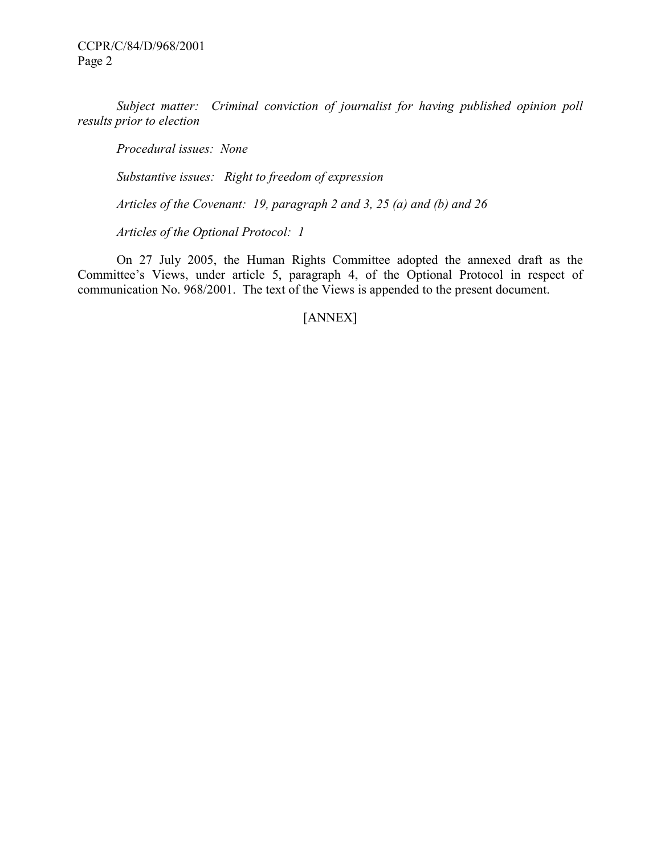Subject matter: Criminal conviction of journalist for having published opinion poll results prior to election

Procedural issues: None

Substantive issues: Right to freedom of expression

Articles of the Covenant: 19, paragraph 2 and 3, 25 (a) and (b) and 26

Articles of the Optional Protocol: 1

 On 27 July 2005, the Human Rights Committee adopted the annexed draft as the Committee's Views, under article 5, paragraph 4, of the Optional Protocol in respect of communication No. 968/2001. The text of the Views is appended to the present document.

[ANNEX]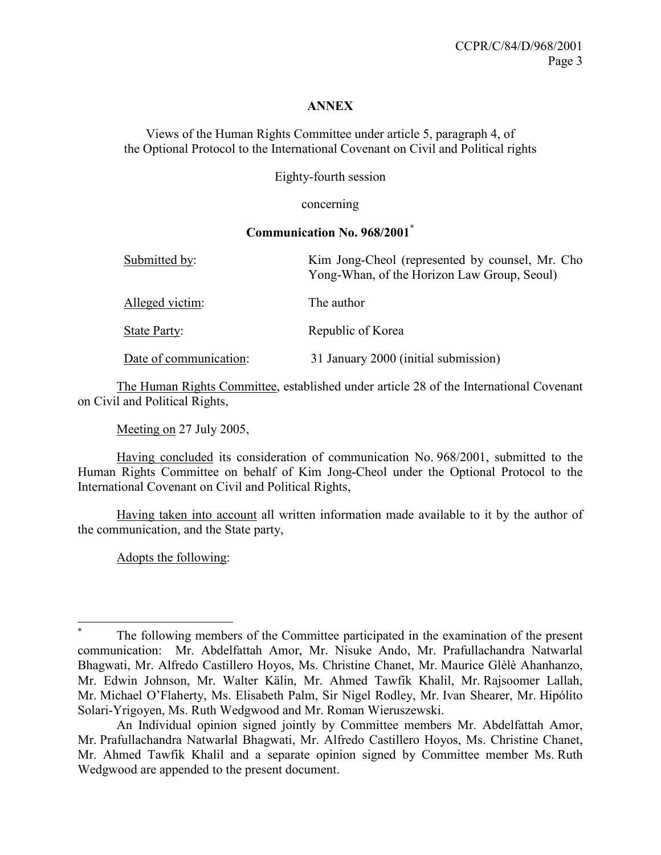#### **ANNEX**

Views of the Human Rights Committee under article 5, paragraph 4, of the Optional Protocol to the International Covenant on Civil and Political rights

Eighty-fourth session

concerning

#### Communication No. 968/2001\*

| Submitted by:          | Kim Jong-Cheol (represented by counsel, Mr. Cho<br>Yong-Whan, of the Horizon Law Group, Seoul) |
|------------------------|------------------------------------------------------------------------------------------------|
| Alleged victim:        | The author                                                                                     |
| State Party:           | Republic of Korea                                                                              |
| Date of communication: | 31 January 2000 (initial submission)                                                           |

 The Human Rights Committee, established under article 28 of the International Covenant on Civil and Political Rights,

Meeting on 27 July 2005,

 Having concluded its consideration of communication No. 968/2001, submitted to the Human Rights Committee on behalf of Kim Jong-Cheol under the Optional Protocol to the International Covenant on Civil and Political Rights,

 Having taken into account all written information made available to it by the author of the communication, and the State party,

Adopts the following:

 $\overline{a}$ \* The following members of the Committee participated in the examination of the present communication: Mr. Abdelfattah Amor, Mr. Nisuke Ando, Mr. Prafullachandra Natwarlal Bhagwati, Mr. Alfredo Castillero Hoyos, Ms. Christine Chanet, Mr. Maurice Glèlè Ahanhanzo, Mr. Edwin Johnson, Mr. Walter Kälin, Mr. Ahmed Tawfik Khalil, Mr. Rajsoomer Lallah, Mr. Michael O'Flaherty, Ms. Elisabeth Palm, Sir Nigel Rodley, Mr. Ivan Shearer, Mr. Hipólito Solari-Yrigoyen, Ms. Ruth Wedgwood and Mr. Roman Wieruszewski.

An Individual opinion signed jointly by Committee members Mr. Abdelfattah Amor, Mr. Prafullachandra Natwarlal Bhagwati, Mr. Alfredo Castillero Hoyos, Ms. Christine Chanet, Mr. Ahmed Tawfik Khalil and a separate opinion signed by Committee member Ms. Ruth Wedgwood are appended to the present document.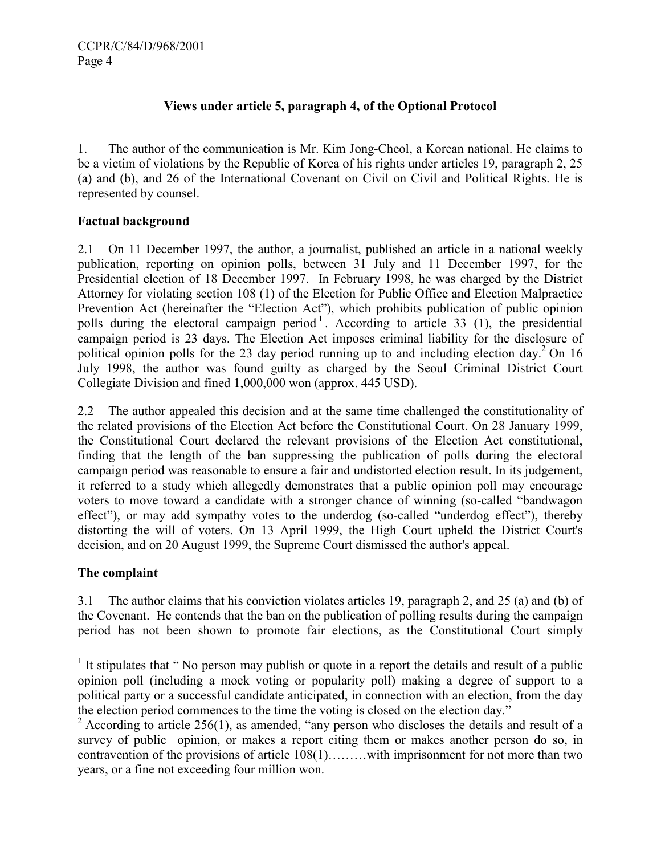# Views under article 5, paragraph 4, of the Optional Protocol

1. The author of the communication is Mr. Kim Jong-Cheol, a Korean national. He claims to be a victim of violations by the Republic of Korea of his rights under articles 19, paragraph 2, 25 (a) and (b), and 26 of the International Covenant on Civil on Civil and Political Rights. He is represented by counsel.

# Factual background

2.1 On 11 December 1997, the author, a journalist, published an article in a national weekly publication, reporting on opinion polls, between 31 July and 11 December 1997, for the Presidential election of 18 December 1997. In February 1998, he was charged by the District Attorney for violating section 108 (1) of the Election for Public Office and Election Malpractice Prevention Act (hereinafter the "Election Act"), which prohibits publication of public opinion polls during the electoral campaign period<sup>1</sup>. According to article 33 (1), the presidential campaign period is 23 days. The Election Act imposes criminal liability for the disclosure of political opinion polls for the 23 day period running up to and including election day.<sup>2</sup> On 16 July 1998, the author was found guilty as charged by the Seoul Criminal District Court Collegiate Division and fined 1,000,000 won (approx. 445 USD).

2.2 The author appealed this decision and at the same time challenged the constitutionality of the related provisions of the Election Act before the Constitutional Court. On 28 January 1999, the Constitutional Court declared the relevant provisions of the Election Act constitutional, finding that the length of the ban suppressing the publication of polls during the electoral campaign period was reasonable to ensure a fair and undistorted election result. In its judgement, it referred to a study which allegedly demonstrates that a public opinion poll may encourage voters to move toward a candidate with a stronger chance of winning (so-called "bandwagon effect"), or may add sympathy votes to the underdog (so-called "underdog effect"), thereby distorting the will of voters. On 13 April 1999, the High Court upheld the District Court's decision, and on 20 August 1999, the Supreme Court dismissed the author's appeal.

# The complaint

 $\overline{a}$ 

3.1 The author claims that his conviction violates articles 19, paragraph 2, and 25 (a) and (b) of the Covenant. He contends that the ban on the publication of polling results during the campaign period has not been shown to promote fair elections, as the Constitutional Court simply

<sup>&</sup>lt;sup>1</sup> It stipulates that "No person may publish or quote in a report the details and result of a public opinion poll (including a mock voting or popularity poll) making a degree of support to a political party or a successful candidate anticipated, in connection with an election, from the day the election period commences to the time the voting is closed on the election day."

 $2$  According to article 256(1), as amended, "any person who discloses the details and result of a survey of public opinion, or makes a report citing them or makes another person do so, in contravention of the provisions of article 108(1)………with imprisonment for not more than two years, or a fine not exceeding four million won.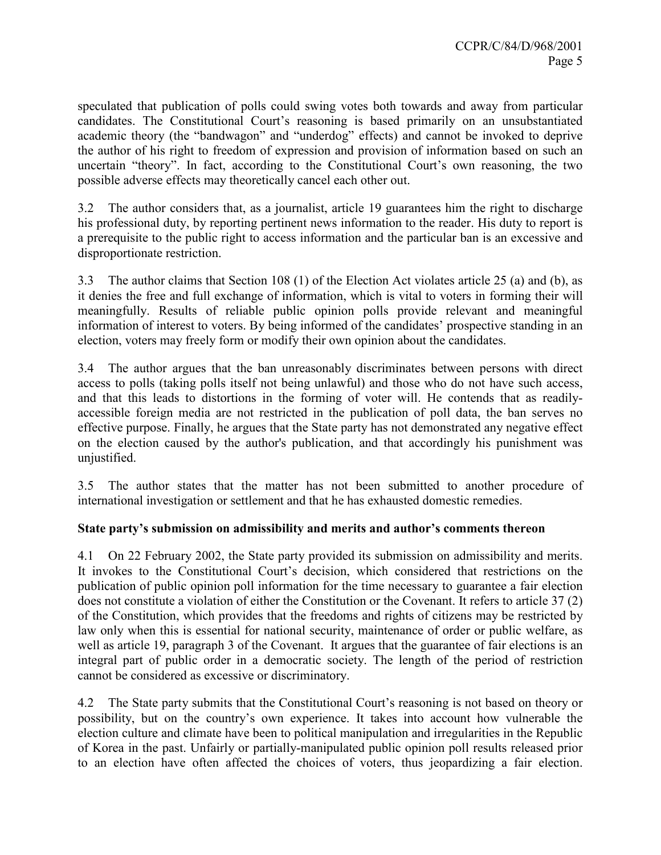speculated that publication of polls could swing votes both towards and away from particular candidates. The Constitutional Court's reasoning is based primarily on an unsubstantiated academic theory (the "bandwagon" and "underdog" effects) and cannot be invoked to deprive the author of his right to freedom of expression and provision of information based on such an uncertain "theory". In fact, according to the Constitutional Court's own reasoning, the two possible adverse effects may theoretically cancel each other out.

3.2 The author considers that, as a journalist, article 19 guarantees him the right to discharge his professional duty, by reporting pertinent news information to the reader. His duty to report is a prerequisite to the public right to access information and the particular ban is an excessive and disproportionate restriction.

3.3 The author claims that Section 108 (1) of the Election Act violates article 25 (a) and (b), as it denies the free and full exchange of information, which is vital to voters in forming their will meaningfully. Results of reliable public opinion polls provide relevant and meaningful information of interest to voters. By being informed of the candidates' prospective standing in an election, voters may freely form or modify their own opinion about the candidates.

3.4 The author argues that the ban unreasonably discriminates between persons with direct access to polls (taking polls itself not being unlawful) and those who do not have such access, and that this leads to distortions in the forming of voter will. He contends that as readilyaccessible foreign media are not restricted in the publication of poll data, the ban serves no effective purpose. Finally, he argues that the State party has not demonstrated any negative effect on the election caused by the author's publication, and that accordingly his punishment was unjustified.

3.5 The author states that the matter has not been submitted to another procedure of international investigation or settlement and that he has exhausted domestic remedies.

# State party's submission on admissibility and merits and author's comments thereon

4.1 On 22 February 2002, the State party provided its submission on admissibility and merits. It invokes to the Constitutional Court's decision, which considered that restrictions on the publication of public opinion poll information for the time necessary to guarantee a fair election does not constitute a violation of either the Constitution or the Covenant. It refers to article 37 (2) of the Constitution, which provides that the freedoms and rights of citizens may be restricted by law only when this is essential for national security, maintenance of order or public welfare, as well as article 19, paragraph 3 of the Covenant. It argues that the guarantee of fair elections is an integral part of public order in a democratic society. The length of the period of restriction cannot be considered as excessive or discriminatory.

4.2 The State party submits that the Constitutional Court's reasoning is not based on theory or possibility, but on the country's own experience. It takes into account how vulnerable the election culture and climate have been to political manipulation and irregularities in the Republic of Korea in the past. Unfairly or partially-manipulated public opinion poll results released prior to an election have often affected the choices of voters, thus jeopardizing a fair election.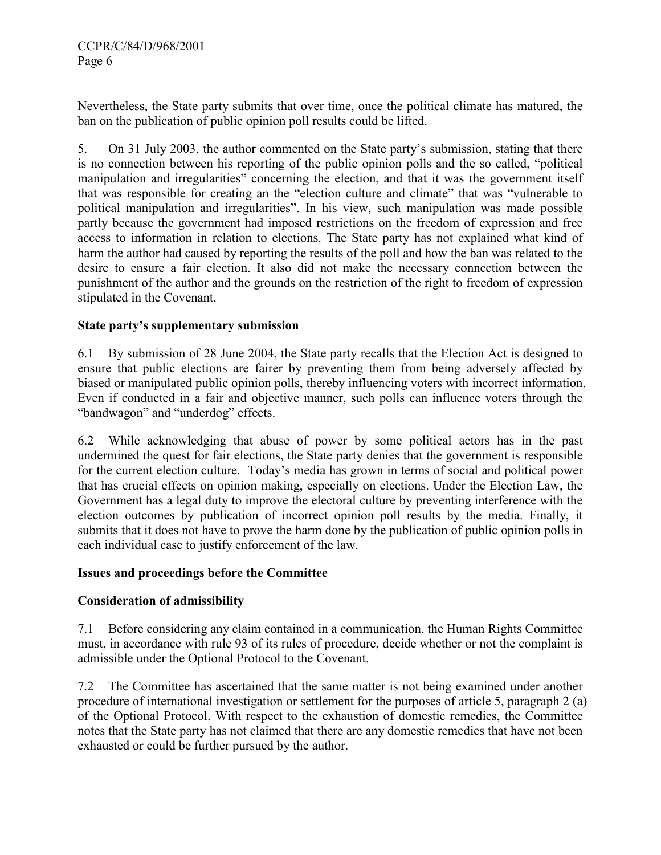Nevertheless, the State party submits that over time, once the political climate has matured, the ban on the publication of public opinion poll results could be lifted.

5. On 31 July 2003, the author commented on the State party's submission, stating that there is no connection between his reporting of the public opinion polls and the so called, "political manipulation and irregularities" concerning the election, and that it was the government itself that was responsible for creating an the "election culture and climate" that was "vulnerable to political manipulation and irregularities". In his view, such manipulation was made possible partly because the government had imposed restrictions on the freedom of expression and free access to information in relation to elections. The State party has not explained what kind of harm the author had caused by reporting the results of the poll and how the ban was related to the desire to ensure a fair election. It also did not make the necessary connection between the punishment of the author and the grounds on the restriction of the right to freedom of expression stipulated in the Covenant.

# State party's supplementary submission

6.1 By submission of 28 June 2004, the State party recalls that the Election Act is designed to ensure that public elections are fairer by preventing them from being adversely affected by biased or manipulated public opinion polls, thereby influencing voters with incorrect information. Even if conducted in a fair and objective manner, such polls can influence voters through the "bandwagon" and "underdog" effects.

6.2 While acknowledging that abuse of power by some political actors has in the past undermined the quest for fair elections, the State party denies that the government is responsible for the current election culture. Today's media has grown in terms of social and political power that has crucial effects on opinion making, especially on elections. Under the Election Law, the Government has a legal duty to improve the electoral culture by preventing interference with the election outcomes by publication of incorrect opinion poll results by the media. Finally, it submits that it does not have to prove the harm done by the publication of public opinion polls in each individual case to justify enforcement of the law.

# Issues and proceedings before the Committee

# Consideration of admissibility

7.1 Before considering any claim contained in a communication, the Human Rights Committee must, in accordance with rule 93 of its rules of procedure, decide whether or not the complaint is admissible under the Optional Protocol to the Covenant.

7.2 The Committee has ascertained that the same matter is not being examined under another procedure of international investigation or settlement for the purposes of article 5, paragraph 2 (a) of the Optional Protocol. With respect to the exhaustion of domestic remedies, the Committee notes that the State party has not claimed that there are any domestic remedies that have not been exhausted or could be further pursued by the author.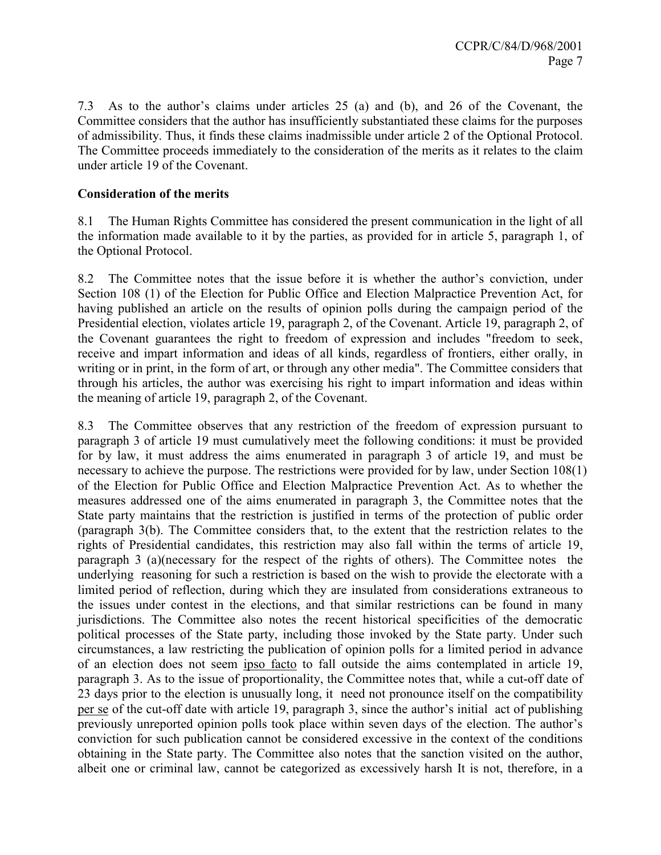7.3 As to the author's claims under articles 25 (a) and (b), and 26 of the Covenant, the Committee considers that the author has insufficiently substantiated these claims for the purposes of admissibility. Thus, it finds these claims inadmissible under article 2 of the Optional Protocol. The Committee proceeds immediately to the consideration of the merits as it relates to the claim under article 19 of the Covenant.

#### Consideration of the merits

8.1 The Human Rights Committee has considered the present communication in the light of all the information made available to it by the parties, as provided for in article 5, paragraph 1, of the Optional Protocol.

8.2 The Committee notes that the issue before it is whether the author's conviction, under Section 108 (1) of the Election for Public Office and Election Malpractice Prevention Act, for having published an article on the results of opinion polls during the campaign period of the Presidential election, violates article 19, paragraph 2, of the Covenant. Article 19, paragraph 2, of the Covenant guarantees the right to freedom of expression and includes "freedom to seek, receive and impart information and ideas of all kinds, regardless of frontiers, either orally, in writing or in print, in the form of art, or through any other media". The Committee considers that through his articles, the author was exercising his right to impart information and ideas within the meaning of article 19, paragraph 2, of the Covenant.

8.3 The Committee observes that any restriction of the freedom of expression pursuant to paragraph 3 of article 19 must cumulatively meet the following conditions: it must be provided for by law, it must address the aims enumerated in paragraph 3 of article 19, and must be necessary to achieve the purpose. The restrictions were provided for by law, under Section 108(1) of the Election for Public Office and Election Malpractice Prevention Act. As to whether the measures addressed one of the aims enumerated in paragraph 3, the Committee notes that the State party maintains that the restriction is justified in terms of the protection of public order (paragraph 3(b). The Committee considers that, to the extent that the restriction relates to the rights of Presidential candidates, this restriction may also fall within the terms of article 19, paragraph 3 (a)(necessary for the respect of the rights of others). The Committee notes the underlying reasoning for such a restriction is based on the wish to provide the electorate with a limited period of reflection, during which they are insulated from considerations extraneous to the issues under contest in the elections, and that similar restrictions can be found in many jurisdictions. The Committee also notes the recent historical specificities of the democratic political processes of the State party, including those invoked by the State party. Under such circumstances, a law restricting the publication of opinion polls for a limited period in advance of an election does not seem ipso facto to fall outside the aims contemplated in article 19, paragraph 3. As to the issue of proportionality, the Committee notes that, while a cut-off date of 23 days prior to the election is unusually long, it need not pronounce itself on the compatibility per se of the cut-off date with article 19, paragraph 3, since the author's initial act of publishing previously unreported opinion polls took place within seven days of the election. The author's conviction for such publication cannot be considered excessive in the context of the conditions obtaining in the State party. The Committee also notes that the sanction visited on the author, albeit one or criminal law, cannot be categorized as excessively harsh It is not, therefore, in a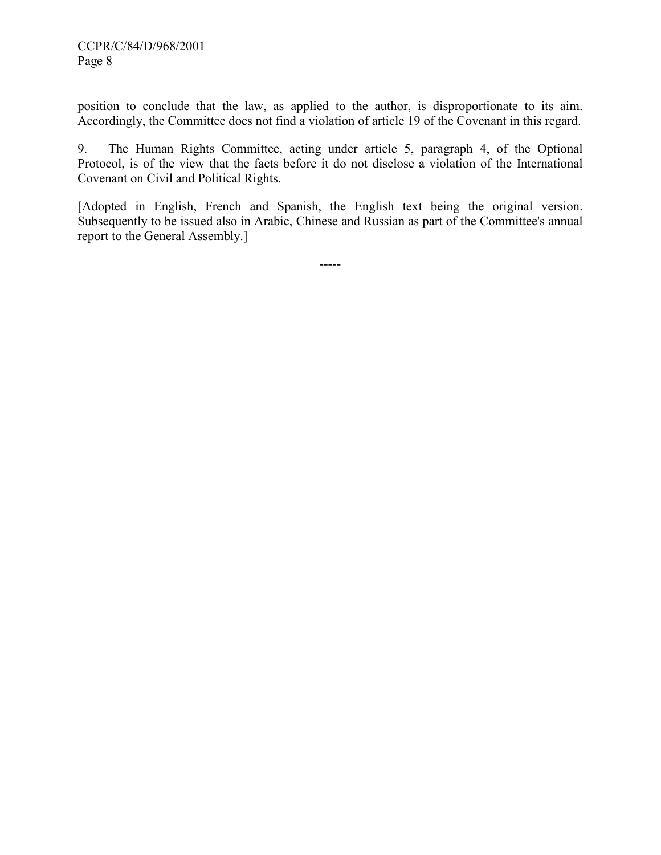position to conclude that the law, as applied to the author, is disproportionate to its aim. Accordingly, the Committee does not find a violation of article 19 of the Covenant in this regard.

9. The Human Rights Committee, acting under article 5, paragraph 4, of the Optional Protocol, is of the view that the facts before it do not disclose a violation of the International Covenant on Civil and Political Rights.

[Adopted in English, French and Spanish, the English text being the original version. Subsequently to be issued also in Arabic, Chinese and Russian as part of the Committee's annual report to the General Assembly.]

-----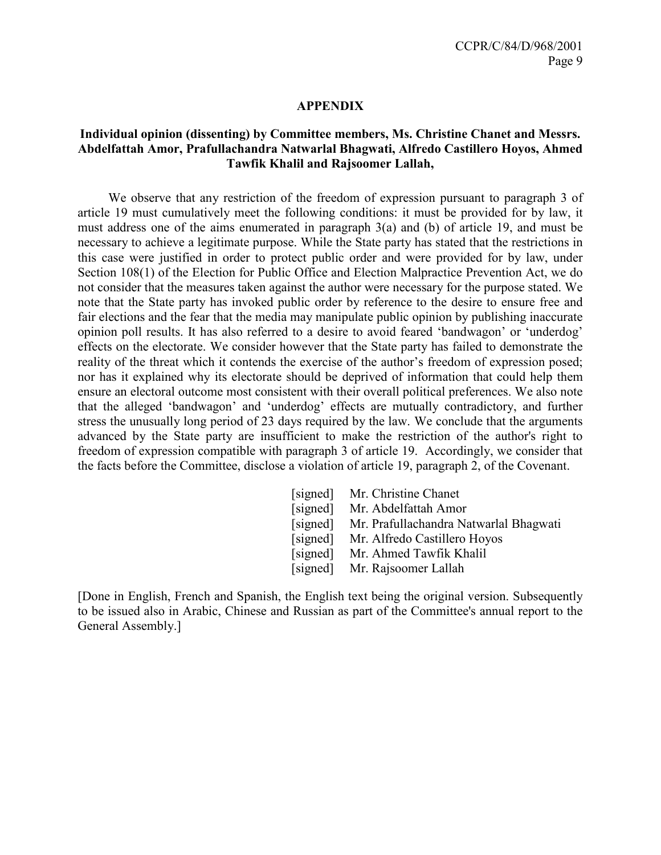#### APPENDIX

#### Individual opinion (dissenting) by Committee members, Ms. Christine Chanet and Messrs. Abdelfattah Amor, Prafullachandra Natwarlal Bhagwati, Alfredo Castillero Hoyos, Ahmed Tawfik Khalil and Rajsoomer Lallah,

 We observe that any restriction of the freedom of expression pursuant to paragraph 3 of article 19 must cumulatively meet the following conditions: it must be provided for by law, it must address one of the aims enumerated in paragraph 3(a) and (b) of article 19, and must be necessary to achieve a legitimate purpose. While the State party has stated that the restrictions in this case were justified in order to protect public order and were provided for by law, under Section 108(1) of the Election for Public Office and Election Malpractice Prevention Act, we do not consider that the measures taken against the author were necessary for the purpose stated. We note that the State party has invoked public order by reference to the desire to ensure free and fair elections and the fear that the media may manipulate public opinion by publishing inaccurate opinion poll results. It has also referred to a desire to avoid feared 'bandwagon' or 'underdog' effects on the electorate. We consider however that the State party has failed to demonstrate the reality of the threat which it contends the exercise of the author's freedom of expression posed; nor has it explained why its electorate should be deprived of information that could help them ensure an electoral outcome most consistent with their overall political preferences. We also note that the alleged 'bandwagon' and 'underdog' effects are mutually contradictory, and further stress the unusually long period of 23 days required by the law. We conclude that the arguments advanced by the State party are insufficient to make the restriction of the author's right to freedom of expression compatible with paragraph 3 of article 19. Accordingly, we consider that the facts before the Committee, disclose a violation of article 19, paragraph 2, of the Covenant.

| [signed] | Mr. Christine Chanet                   |
|----------|----------------------------------------|
| [signed] | Mr. Abdelfattah Amor                   |
| [signed] | Mr. Prafullachandra Natwarlal Bhagwati |
| [signed] | Mr. Alfredo Castillero Hoyos           |
| [signed] | Mr. Ahmed Tawfik Khalil                |
| [signed] | Mr. Rajsoomer Lallah                   |

[Done in English, French and Spanish, the English text being the original version. Subsequently to be issued also in Arabic, Chinese and Russian as part of the Committee's annual report to the General Assembly.]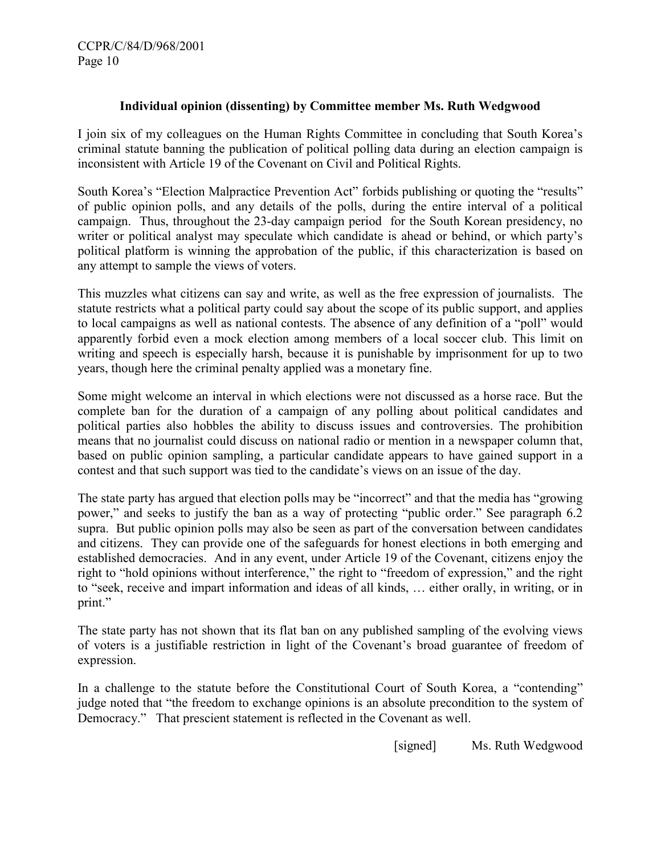#### Individual opinion (dissenting) by Committee member Ms. Ruth Wedgwood

I join six of my colleagues on the Human Rights Committee in concluding that South Korea's criminal statute banning the publication of political polling data during an election campaign is inconsistent with Article 19 of the Covenant on Civil and Political Rights.

South Korea's "Election Malpractice Prevention Act" forbids publishing or quoting the "results" of public opinion polls, and any details of the polls, during the entire interval of a political campaign. Thus, throughout the 23-day campaign period for the South Korean presidency, no writer or political analyst may speculate which candidate is ahead or behind, or which party's political platform is winning the approbation of the public, if this characterization is based on any attempt to sample the views of voters.

This muzzles what citizens can say and write, as well as the free expression of journalists. The statute restricts what a political party could say about the scope of its public support, and applies to local campaigns as well as national contests. The absence of any definition of a "poll" would apparently forbid even a mock election among members of a local soccer club. This limit on writing and speech is especially harsh, because it is punishable by imprisonment for up to two years, though here the criminal penalty applied was a monetary fine.

Some might welcome an interval in which elections were not discussed as a horse race. But the complete ban for the duration of a campaign of any polling about political candidates and political parties also hobbles the ability to discuss issues and controversies. The prohibition means that no journalist could discuss on national radio or mention in a newspaper column that, based on public opinion sampling, a particular candidate appears to have gained support in a contest and that such support was tied to the candidate's views on an issue of the day.

The state party has argued that election polls may be "incorrect" and that the media has "growing power," and seeks to justify the ban as a way of protecting "public order." See paragraph 6.2 supra. But public opinion polls may also be seen as part of the conversation between candidates and citizens. They can provide one of the safeguards for honest elections in both emerging and established democracies. And in any event, under Article 19 of the Covenant, citizens enjoy the right to "hold opinions without interference," the right to "freedom of expression," and the right to "seek, receive and impart information and ideas of all kinds, … either orally, in writing, or in print."

The state party has not shown that its flat ban on any published sampling of the evolving views of voters is a justifiable restriction in light of the Covenant's broad guarantee of freedom of expression.

In a challenge to the statute before the Constitutional Court of South Korea, a "contending" judge noted that "the freedom to exchange opinions is an absolute precondition to the system of Democracy." That prescient statement is reflected in the Covenant as well.

[signed] Ms. Ruth Wedgwood